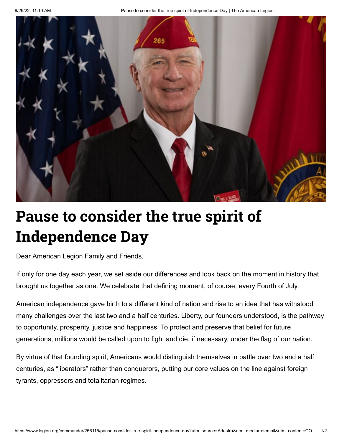

## **Pause to consider the true spirit of Independence Day**

Dear American Legion Family and Friends,

If only for one day each year, we set aside our differences and look back on the moment in history that brought us together as one. We celebrate that defining moment, of course, every Fourth of July.

American independence gave birth to a different kind of nation and rise to an idea that has withstood many challenges over the last two and a half centuries. Liberty, our founders understood, is the pathway to opportunity, prosperity, justice and happiness. To protect and preserve that belief for future generations, millions would be called upon to fight and die, if necessary, under the flag of our nation.

By virtue of that founding spirit, Americans would distinguish themselves in battle over two and a half centuries, as "liberators" rather than conquerors, putting our core values on the line against foreign tyrants, oppressors and totalitarian regimes.